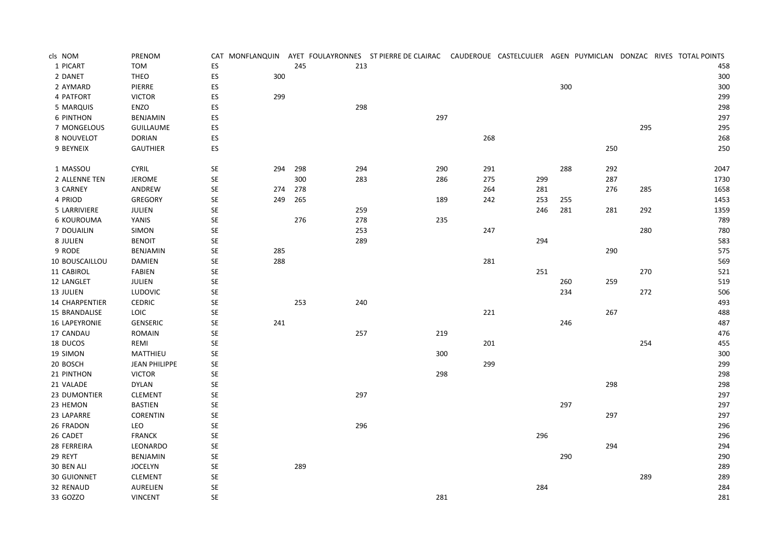| cls NOM               | PRENOM               |                      |     |     |     | CAT MONFLANQUIN AYET FOULAYRONNES ST PIERRE DE CLAIRAC CAUDEROUE CASTELCULIER AGEN PUYMICLAN DONZAC RIVES TOTAL POINTS |     |     |     |     |     |      |
|-----------------------|----------------------|----------------------|-----|-----|-----|------------------------------------------------------------------------------------------------------------------------|-----|-----|-----|-----|-----|------|
| 1 PICART              | <b>TOM</b>           | ${\sf ES}$           |     | 245 | 213 |                                                                                                                        |     |     |     |     |     | 458  |
| 2 DANET               | <b>THEO</b>          | ${\sf ES}$           | 300 |     |     |                                                                                                                        |     |     |     |     |     | 300  |
| 2 AYMARD              | PIERRE               | ES                   |     |     |     |                                                                                                                        |     |     | 300 |     |     | 300  |
| 4 PATFORT             | <b>VICTOR</b>        | ES                   | 299 |     |     |                                                                                                                        |     |     |     |     |     | 299  |
| 5 MARQUIS             | ENZO                 | ES                   |     |     | 298 |                                                                                                                        |     |     |     |     |     | 298  |
| <b>6 PINTHON</b>      | <b>BENJAMIN</b>      | ES.                  |     |     |     | 297                                                                                                                    |     |     |     |     |     | 297  |
| 7 MONGELOUS           | <b>GUILLAUME</b>     | ES                   |     |     |     |                                                                                                                        |     |     |     |     | 295 | 295  |
| 8 NOUVELOT            | <b>DORIAN</b>        | ${\sf ES}$           |     |     |     |                                                                                                                        | 268 |     |     |     |     | 268  |
| 9 BEYNEIX             | <b>GAUTHIER</b>      | ES                   |     |     |     |                                                                                                                        |     |     |     | 250 |     | 250  |
| 1 MASSOU              | <b>CYRIL</b>         | $\mathsf{SE}\xspace$ | 294 | 298 | 294 | 290                                                                                                                    | 291 |     | 288 | 292 |     | 2047 |
| 2 ALLENNE TEN         | <b>JEROME</b>        | <b>SE</b>            |     | 300 | 283 | 286                                                                                                                    | 275 | 299 |     | 287 |     | 1730 |
| 3 CARNEY              | ANDREW               | SE                   | 274 | 278 |     |                                                                                                                        | 264 | 281 |     | 276 | 285 | 1658 |
| 4 PRIOD               | <b>GREGORY</b>       | SE                   | 249 | 265 |     | 189                                                                                                                    | 242 | 253 | 255 |     |     | 1453 |
| 5 LARRIVIERE          | JULIEN               | $\mathsf{SE}\xspace$ |     |     | 259 |                                                                                                                        |     | 246 | 281 | 281 | 292 | 1359 |
| 6 KOUROUMA            | YANIS                | $\mathsf{SE}\xspace$ |     | 276 | 278 | 235                                                                                                                    |     |     |     |     |     | 789  |
| 7 DOUAILIN            | SIMON                | SE                   |     |     | 253 |                                                                                                                        | 247 |     |     |     | 280 | 780  |
| 8 JULIEN              | <b>BENOIT</b>        | SE                   |     |     | 289 |                                                                                                                        |     | 294 |     |     |     | 583  |
| 9 RODE                | BENJAMIN             | SE                   | 285 |     |     |                                                                                                                        |     |     |     | 290 |     | 575  |
| 10 BOUSCAILLOU        | <b>DAMIEN</b>        | $\mathsf{SE}\xspace$ | 288 |     |     |                                                                                                                        | 281 |     |     |     |     | 569  |
| 11 CABIROL            | FABIEN               | $\mathsf{SE}\xspace$ |     |     |     |                                                                                                                        |     | 251 |     |     | 270 | 521  |
| 12 LANGLET            | <b>JULIEN</b>        | SE                   |     |     |     |                                                                                                                        |     |     | 260 | 259 |     | 519  |
| 13 JULIEN             | <b>LUDOVIC</b>       | SE                   |     |     |     |                                                                                                                        |     |     | 234 |     | 272 | 506  |
| <b>14 CHARPENTIER</b> | <b>CEDRIC</b>        | SE                   |     | 253 | 240 |                                                                                                                        |     |     |     |     |     | 493  |
| 15 BRANDALISE         | LOIC                 | $\mathsf{SE}\xspace$ |     |     |     |                                                                                                                        | 221 |     |     | 267 |     | 488  |
| 16 LAPEYRONIE         | <b>GENSERIC</b>      | $\mathsf{SE}\xspace$ | 241 |     |     |                                                                                                                        |     |     | 246 |     |     | 487  |
| 17 CANDAU             | ROMAIN               | SE                   |     |     | 257 | 219                                                                                                                    |     |     |     |     |     | 476  |
| 18 DUCOS              | REMI                 | $\mathsf{SE}\xspace$ |     |     |     |                                                                                                                        | 201 |     |     |     | 254 | 455  |
| 19 SIMON              | MATTHIEU             | SE                   |     |     |     | 300                                                                                                                    |     |     |     |     |     | 300  |
| 20 BOSCH              | <b>JEAN PHILIPPE</b> | $\mathsf{SE}\xspace$ |     |     |     |                                                                                                                        | 299 |     |     |     |     | 299  |
| 21 PINTHON            | <b>VICTOR</b>        | $\mathsf{SE}\xspace$ |     |     |     | 298                                                                                                                    |     |     |     |     |     | 298  |
| 21 VALADE             | <b>DYLAN</b>         | SE                   |     |     |     |                                                                                                                        |     |     |     | 298 |     | 298  |
| 23 DUMONTIER          | <b>CLEMENT</b>       | SE                   |     |     | 297 |                                                                                                                        |     |     |     |     |     | 297  |
| 23 HEMON              | BASTIEN              | SE                   |     |     |     |                                                                                                                        |     |     | 297 |     |     | 297  |
| 23 LAPARRE            | <b>CORENTIN</b>      | $\mathsf{SE}\xspace$ |     |     |     |                                                                                                                        |     |     |     | 297 |     | 297  |
| 26 FRADON             | LEO                  | $\mathsf{SE}\xspace$ |     |     | 296 |                                                                                                                        |     |     |     |     |     | 296  |
| 26 CADET              | <b>FRANCK</b>        | $\mathsf{SE}\xspace$ |     |     |     |                                                                                                                        |     | 296 |     |     |     | 296  |
| 28 FERREIRA           | LEONARDO             | SE                   |     |     |     |                                                                                                                        |     |     |     | 294 |     | 294  |
| 29 REYT               | <b>BENJAMIN</b>      | SE                   |     |     |     |                                                                                                                        |     |     | 290 |     |     | 290  |
| 30 BEN ALI            | <b>JOCELYN</b>       | $\mathsf{SE}\xspace$ |     | 289 |     |                                                                                                                        |     |     |     |     |     | 289  |
| 30 GUIONNET           | <b>CLEMENT</b>       | $\mathsf{SE}\xspace$ |     |     |     |                                                                                                                        |     |     |     |     | 289 | 289  |
| 32 RENAUD             | <b>AURELIEN</b>      | SE                   |     |     |     |                                                                                                                        |     | 284 |     |     |     | 284  |
| 33 GOZZO              | <b>VINCENT</b>       | <b>SE</b>            |     |     |     | 281                                                                                                                    |     |     |     |     |     | 281  |
|                       |                      |                      |     |     |     |                                                                                                                        |     |     |     |     |     |      |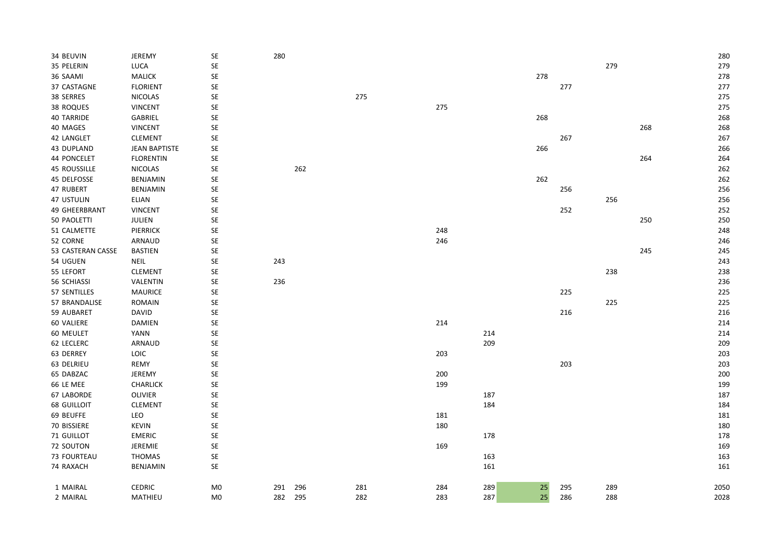| 34 BEUVIN           | JEREMY               | SE                   | 280        |     |     |     |     |     |     |     | 280  |
|---------------------|----------------------|----------------------|------------|-----|-----|-----|-----|-----|-----|-----|------|
| 35 PELERIN          | LUCA                 | SE                   |            |     |     |     |     |     | 279 |     | 279  |
| 36 SAAMI            | <b>MALICK</b>        | SE                   |            |     |     |     | 278 |     |     |     | 278  |
| 37 CASTAGNE         | <b>FLORIENT</b>      | SE                   |            |     |     |     |     | 277 |     |     | 277  |
| 38 SERRES           | <b>NICOLAS</b>       | SE                   |            | 275 |     |     |     |     |     |     | 275  |
| 38 ROQUES           | <b>VINCENT</b>       | SE                   |            |     | 275 |     |     |     |     |     | 275  |
| <b>40 TARRIDE</b>   | GABRIEL              | $\mathsf{SE}\xspace$ |            |     |     |     | 268 |     |     |     | 268  |
| 40 MAGES            | <b>VINCENT</b>       | SE                   |            |     |     |     |     |     |     | 268 | 268  |
| 42 LANGLET          | <b>CLEMENT</b>       | SE                   |            |     |     |     |     | 267 |     |     | 267  |
| 43 DUPLAND          | <b>JEAN BAPTISTE</b> | SE                   |            |     |     |     | 266 |     |     |     | 266  |
| 44 PONCELET         | <b>FLORENTIN</b>     | SE                   |            |     |     |     |     |     |     | 264 | 264  |
| <b>45 ROUSSILLE</b> | <b>NICOLAS</b>       | SE                   | 262        |     |     |     |     |     |     |     | 262  |
| 45 DELFOSSE         | BENJAMIN             | SE                   |            |     |     |     | 262 |     |     |     | 262  |
| 47 RUBERT           | BENJAMIN             | SE                   |            |     |     |     |     | 256 |     |     | 256  |
| 47 USTULIN          | <b>ELIAN</b>         | SE                   |            |     |     |     |     |     | 256 |     | 256  |
| 49 GHEERBRANT       | <b>VINCENT</b>       | SE                   |            |     |     |     |     | 252 |     |     | 252  |
| 50 PAOLETTI         | JULIEN               | SE                   |            |     |     |     |     |     |     | 250 | 250  |
| 51 CALMETTE         | PIERRICK             | SE                   |            |     | 248 |     |     |     |     |     | 248  |
| 52 CORNE            | ARNAUD               | SE                   |            |     | 246 |     |     |     |     |     | 246  |
| 53 CASTERAN CASSE   | <b>BASTIEN</b>       | SE                   |            |     |     |     |     |     |     | 245 | 245  |
| 54 UGUEN            | NEIL                 | SE                   | 243        |     |     |     |     |     |     |     | 243  |
| 55 LEFORT           | <b>CLEMENT</b>       | SE                   |            |     |     |     |     |     | 238 |     | 238  |
| 56 SCHIASSI         | VALENTIN             | SE                   | 236        |     |     |     |     |     |     |     | 236  |
| 57 SENTILLES        | <b>MAURICE</b>       | SE                   |            |     |     |     |     | 225 |     |     | 225  |
| 57 BRANDALISE       | <b>ROMAIN</b>        | SE                   |            |     |     |     |     |     | 225 |     | 225  |
| 59 AUBARET          | <b>DAVID</b>         | SE                   |            |     |     |     |     | 216 |     |     | 216  |
| 60 VALIERE          | <b>DAMIEN</b>        | SE                   |            |     | 214 |     |     |     |     |     | 214  |
| 60 MEULET           | <b>YANN</b>          | SE                   |            |     |     | 214 |     |     |     |     | 214  |
| 62 LECLERC          | ARNAUD               | SE                   |            |     |     | 209 |     |     |     |     | 209  |
| 63 DERREY           | <b>LOIC</b>          | SE                   |            |     | 203 |     |     |     |     |     | 203  |
| 63 DELRIEU          | <b>REMY</b>          | SE                   |            |     |     |     |     | 203 |     |     | 203  |
| 65 DABZAC           | <b>JEREMY</b>        | <b>SE</b>            |            |     | 200 |     |     |     |     |     | 200  |
| 66 LE MEE           | <b>CHARLICK</b>      | SE                   |            |     | 199 |     |     |     |     |     | 199  |
| 67 LABORDE          | OLIVIER              | SE                   |            |     |     | 187 |     |     |     |     | 187  |
| <b>68 GUILLOIT</b>  | <b>CLEMENT</b>       | SE                   |            |     |     | 184 |     |     |     |     | 184  |
| 69 BEUFFE           | LEO                  | SE                   |            |     | 181 |     |     |     |     |     | 181  |
| 70 BISSIERE         | <b>KEVIN</b>         | SE                   |            |     | 180 |     |     |     |     |     | 180  |
| 71 GUILLOT          | <b>EMERIC</b>        | SE                   |            |     |     | 178 |     |     |     |     | 178  |
| 72 SOUTON           | JEREMIE              | SE                   |            |     | 169 |     |     |     |     |     | 169  |
| 73 FOURTEAU         | <b>THOMAS</b>        | SE                   |            |     |     | 163 |     |     |     |     | 163  |
| 74 RAXACH           | BENJAMIN             | SE                   |            |     |     | 161 |     |     |     |     | 161  |
|                     |                      |                      |            |     |     |     |     |     |     |     |      |
| 1 MAIRAL            | <b>CEDRIC</b>        | M <sub>0</sub>       | 291<br>296 | 281 | 284 | 289 | 25  | 295 | 289 |     | 2050 |
| 2 MAIRAL            | MATHIEU              | M <sub>0</sub>       | 295<br>282 | 282 | 283 | 287 | 25  | 286 | 288 |     | 2028 |
|                     |                      |                      |            |     |     |     |     |     |     |     |      |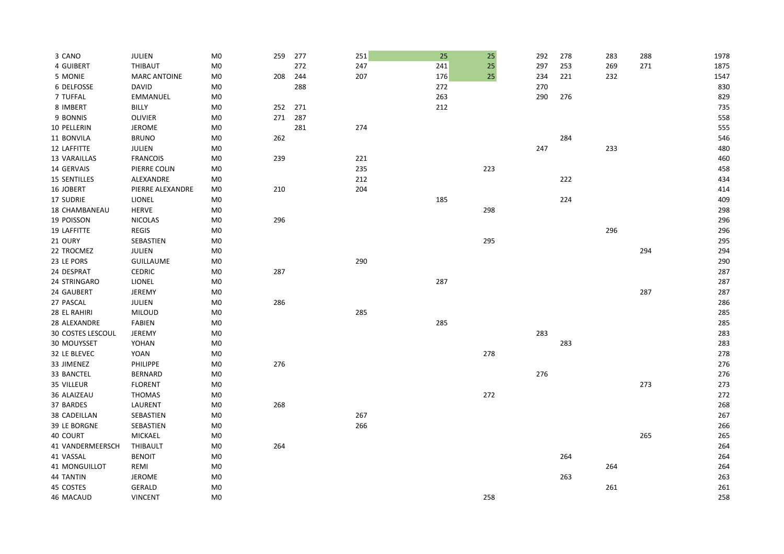| 3 CANO                   | JULIEN              | M <sub>0</sub> | 259 | 277 | 251 | 25  | 25  | 292 | 278 | 283 | 288 | 1978 |
|--------------------------|---------------------|----------------|-----|-----|-----|-----|-----|-----|-----|-----|-----|------|
| 4 GUIBERT                | THIBAUT             | M <sub>0</sub> |     | 272 | 247 | 241 | 25  | 297 | 253 | 269 | 271 | 1875 |
| 5 MONIE                  | <b>MARC ANTOINE</b> | M <sub>0</sub> | 208 | 244 | 207 | 176 | 25  | 234 | 221 | 232 |     | 1547 |
| 6 DELFOSSE               | DAVID               | M <sub>0</sub> |     | 288 |     | 272 |     | 270 |     |     |     | 830  |
| 7 TUFFAL                 | <b>EMMANUEL</b>     | M <sub>0</sub> |     |     |     | 263 |     | 290 | 276 |     |     | 829  |
| 8 IMBERT                 | <b>BILLY</b>        | M <sub>0</sub> | 252 | 271 |     | 212 |     |     |     |     |     | 735  |
| 9 BONNIS                 | OLIVIER             | M <sub>0</sub> | 271 | 287 |     |     |     |     |     |     |     | 558  |
| 10 PELLERIN              | <b>JEROME</b>       | M <sub>0</sub> |     | 281 | 274 |     |     |     |     |     |     | 555  |
| 11 BONVILA               | <b>BRUNO</b>        | M <sub>0</sub> | 262 |     |     |     |     |     | 284 |     |     | 546  |
| 12 LAFFITTE              | JULIEN              | M <sub>0</sub> |     |     |     |     |     | 247 |     | 233 |     | 480  |
| 13 VARAILLAS             | <b>FRANCOIS</b>     | M <sub>0</sub> | 239 |     | 221 |     |     |     |     |     |     | 460  |
| 14 GERVAIS               | PIERRE COLIN        | M <sub>0</sub> |     |     | 235 |     | 223 |     |     |     |     | 458  |
| 15 SENTILLES             | ALEXANDRE           | M <sub>0</sub> |     |     | 212 |     |     |     | 222 |     |     | 434  |
| 16 JOBERT                | PIERRE ALEXANDRE    | M <sub>0</sub> | 210 |     | 204 |     |     |     |     |     |     | 414  |
| 17 SUDRIE                | <b>LIONEL</b>       | M <sub>0</sub> |     |     |     | 185 |     |     | 224 |     |     | 409  |
| <b>18 CHAMBANEAU</b>     | <b>HERVE</b>        | M <sub>0</sub> |     |     |     |     | 298 |     |     |     |     | 298  |
| 19 POISSON               | <b>NICOLAS</b>      | M <sub>0</sub> | 296 |     |     |     |     |     |     |     |     | 296  |
| 19 LAFFITTE              | <b>REGIS</b>        | M <sub>0</sub> |     |     |     |     |     |     |     | 296 |     | 296  |
| 21 OURY                  | SEBASTIEN           | M <sub>0</sub> |     |     |     |     | 295 |     |     |     |     | 295  |
| 22 TROCMEZ               | JULIEN              | M <sub>0</sub> |     |     |     |     |     |     |     |     | 294 | 294  |
| 23 LE PORS               | <b>GUILLAUME</b>    | M <sub>0</sub> |     |     | 290 |     |     |     |     |     |     | 290  |
| 24 DESPRAT               | <b>CEDRIC</b>       | M0             | 287 |     |     |     |     |     |     |     |     | 287  |
| 24 STRINGARO             | LIONEL              | M <sub>0</sub> |     |     |     | 287 |     |     |     |     |     | 287  |
| 24 GAUBERT               | JEREMY              | M <sub>0</sub> |     |     |     |     |     |     |     |     | 287 | 287  |
| 27 PASCAL                | JULIEN              | M <sub>0</sub> | 286 |     |     |     |     |     |     |     |     | 286  |
| 28 EL RAHIRI             | <b>MILOUD</b>       | M <sub>0</sub> |     |     | 285 |     |     |     |     |     |     | 285  |
| 28 ALEXANDRE             | <b>FABIEN</b>       | M <sub>0</sub> |     |     |     | 285 |     |     |     |     |     | 285  |
| <b>30 COSTES LESCOUL</b> | <b>JEREMY</b>       | M <sub>0</sub> |     |     |     |     |     | 283 |     |     |     | 283  |
| 30 MOUYSSET              | YOHAN               | M <sub>0</sub> |     |     |     |     |     |     | 283 |     |     | 283  |
| 32 LE BLEVEC             | YOAN                | M <sub>0</sub> |     |     |     |     | 278 |     |     |     |     | 278  |
| 33 JIMENEZ               | PHILIPPE            | M <sub>0</sub> | 276 |     |     |     |     |     |     |     |     | 276  |
| 33 BANCTEL               | <b>BERNARD</b>      | M <sub>0</sub> |     |     |     |     |     | 276 |     |     |     | 276  |
| 35 VILLEUR               | <b>FLORENT</b>      | M <sub>0</sub> |     |     |     |     |     |     |     |     | 273 | 273  |
| 36 ALAIZEAU              | <b>THOMAS</b>       | M <sub>0</sub> |     |     |     |     | 272 |     |     |     |     | 272  |
| 37 BARDES                | LAURENT             | M <sub>0</sub> | 268 |     |     |     |     |     |     |     |     | 268  |
| 38 CADEILLAN             | SEBASTIEN           | M <sub>0</sub> |     |     | 267 |     |     |     |     |     |     | 267  |
| 39 LE BORGNE             | SEBASTIEN           | M <sub>0</sub> |     |     | 266 |     |     |     |     |     |     | 266  |
| 40 COURT                 | MICKAEL             | M <sub>0</sub> |     |     |     |     |     |     |     |     | 265 | 265  |
| 41 VANDERMEERSCH         | THIBAULT            | M <sub>0</sub> | 264 |     |     |     |     |     |     |     |     | 264  |
| 41 VASSAL                | <b>BENOIT</b>       | M <sub>0</sub> |     |     |     |     |     |     | 264 |     |     | 264  |
| 41 MONGUILLOT            | REMI                | M <sub>0</sub> |     |     |     |     |     |     |     | 264 |     | 264  |
| 44 TANTIN                | <b>JEROME</b>       | M <sub>0</sub> |     |     |     |     |     |     | 263 |     |     | 263  |
| 45 COSTES                | GERALD              | M <sub>0</sub> |     |     |     |     |     |     |     | 261 |     | 261  |
| 46 MACAUD                | <b>VINCENT</b>      | M <sub>0</sub> |     |     |     |     | 258 |     |     |     |     | 258  |
|                          |                     |                |     |     |     |     |     |     |     |     |     |      |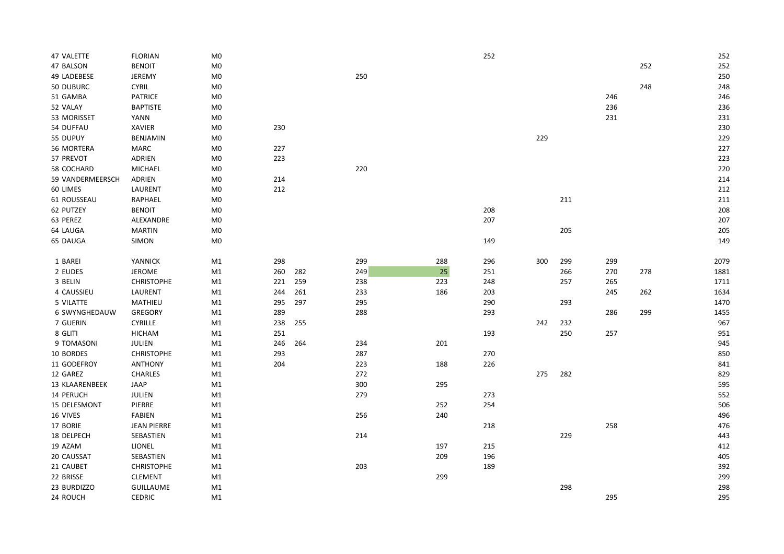| 47 VALETTE       | <b>FLORIAN</b>     | ${\sf M0}$     |     |     |     |        | 252 |     |     |     |     | 252  |
|------------------|--------------------|----------------|-----|-----|-----|--------|-----|-----|-----|-----|-----|------|
| 47 BALSON        | <b>BENOIT</b>      | ${\sf M0}$     |     |     |     |        |     |     |     |     | 252 | 252  |
| 49 LADEBESE      | <b>JEREMY</b>      | ${\sf M0}$     |     |     | 250 |        |     |     |     |     |     | 250  |
| 50 DUBURC        | CYRIL              | M <sub>0</sub> |     |     |     |        |     |     |     |     | 248 | 248  |
| 51 GAMBA         | <b>PATRICE</b>     | M <sub>0</sub> |     |     |     |        |     |     |     | 246 |     | 246  |
| 52 VALAY         | <b>BAPTISTE</b>    | ${\sf M0}$     |     |     |     |        |     |     |     | 236 |     | 236  |
| 53 MORISSET      | YANN               | ${\sf M0}$     |     |     |     |        |     |     |     | 231 |     | 231  |
| 54 DUFFAU        | <b>XAVIER</b>      | ${\sf M0}$     | 230 |     |     |        |     |     |     |     |     | 230  |
| 55 DUPUY         | BENJAMIN           | M <sub>0</sub> |     |     |     |        |     | 229 |     |     |     | 229  |
| 56 MORTERA       | <b>MARC</b>        | M <sub>0</sub> | 227 |     |     |        |     |     |     |     |     | 227  |
| 57 PREVOT        | ADRIEN             | ${\sf M0}$     | 223 |     |     |        |     |     |     |     |     | 223  |
| 58 COCHARD       | MICHAEL            | ${\sf M0}$     |     |     | 220 |        |     |     |     |     |     | 220  |
| 59 VANDERMEERSCH | ADRIEN             | M <sub>0</sub> | 214 |     |     |        |     |     |     |     |     | 214  |
| 60 LIMES         | LAURENT            | M <sub>0</sub> | 212 |     |     |        |     |     |     |     |     | 212  |
| 61 ROUSSEAU      | RAPHAEL            | M <sub>0</sub> |     |     |     |        |     |     | 211 |     |     | 211  |
| 62 PUTZEY        | <b>BENOIT</b>      | M0             |     |     |     |        | 208 |     |     |     |     | 208  |
| 63 PEREZ         | ALEXANDRE          | ${\sf M0}$     |     |     |     |        | 207 |     |     |     |     | 207  |
| 64 LAUGA         | <b>MARTIN</b>      | ${\sf M0}$     |     |     |     |        |     |     | 205 |     |     | 205  |
| 65 DAUGA         | <b>SIMON</b>       | M <sub>0</sub> |     |     |     |        | 149 |     |     |     |     | 149  |
|                  |                    |                |     |     |     |        |     |     |     |     |     |      |
| 1 BAREI          | YANNICK            | M1             | 298 |     | 299 | 288    | 296 | 300 | 299 | 299 |     | 2079 |
| 2 EUDES          | <b>JEROME</b>      | M1             | 260 | 282 | 249 | $25\,$ | 251 |     | 266 | 270 | 278 | 1881 |
| 3 BELIN          | <b>CHRISTOPHE</b>  | M1             | 221 | 259 | 238 | 223    | 248 |     | 257 | 265 |     | 1711 |
| 4 CAUSSIEU       | LAURENT            | M1             | 244 | 261 | 233 | 186    | 203 |     |     | 245 | 262 | 1634 |
| 5 VILATTE        | MATHIEU            | M1             | 295 | 297 | 295 |        | 290 |     | 293 |     |     | 1470 |
| 6 SWYNGHEDAUW    | GREGORY            | M1             | 289 |     | 288 |        | 293 |     |     | 286 | 299 | 1455 |
| 7 GUERIN         | CYRILLE            | M1             | 238 | 255 |     |        |     | 242 | 232 |     |     | 967  |
| 8 GLITI          | <b>HICHAM</b>      | M1             | 251 |     |     |        | 193 |     | 250 | 257 |     | 951  |
| 9 TOMASONI       | JULIEN             | M1             | 246 | 264 | 234 | 201    |     |     |     |     |     | 945  |
| 10 BORDES        | <b>CHRISTOPHE</b>  | M1             | 293 |     | 287 |        | 270 |     |     |     |     | 850  |
| 11 GODEFROY      | <b>ANTHONY</b>     | M1             | 204 |     | 223 | 188    | 226 |     |     |     |     | 841  |
| 12 GAREZ         | <b>CHARLES</b>     | M1             |     |     | 272 |        |     | 275 | 282 |     |     | 829  |
| 13 KLAARENBEEK   | JAAP               | M1             |     |     | 300 | 295    |     |     |     |     |     | 595  |
| 14 PERUCH        | JULIEN             | M1             |     |     | 279 |        | 273 |     |     |     |     | 552  |
| 15 DELESMONT     | PIERRE             | M1             |     |     |     | 252    | 254 |     |     |     |     | 506  |
| 16 VIVES         | FABIEN             | M1             |     |     | 256 | 240    |     |     |     |     |     | 496  |
| 17 BORIE         | <b>JEAN PIERRE</b> | M1             |     |     |     |        | 218 |     |     | 258 |     | 476  |
| 18 DELPECH       | SEBASTIEN          | M1             |     |     | 214 |        |     |     | 229 |     |     | 443  |
| 19 AZAM          | LIONEL             | M1             |     |     |     | 197    | 215 |     |     |     |     | 412  |
| 20 CAUSSAT       | SEBASTIEN          | M1             |     |     |     | 209    | 196 |     |     |     |     | 405  |
| 21 CAUBET        | <b>CHRISTOPHE</b>  | M1             |     |     | 203 |        | 189 |     |     |     |     | 392  |
| 22 BRISSE        | <b>CLEMENT</b>     | M1             |     |     |     | 299    |     |     |     |     |     | 299  |
| 23 BURDIZZO      | <b>GUILLAUME</b>   | M1             |     |     |     |        |     |     | 298 |     |     | 298  |
| 24 ROUCH         | <b>CEDRIC</b>      | M1             |     |     |     |        |     |     |     | 295 |     | 295  |
|                  |                    |                |     |     |     |        |     |     |     |     |     |      |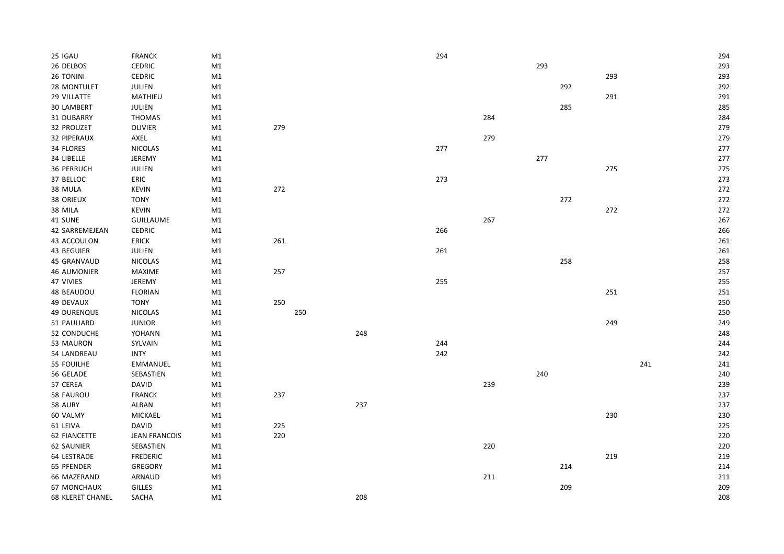| 25 IGAU                 | <b>FRANCK</b>        | M1 |     |     |     | 294 |         |     |     |     |     | 294 |
|-------------------------|----------------------|----|-----|-----|-----|-----|---------|-----|-----|-----|-----|-----|
| 26 DELBOS               | CEDRIC               | M1 |     |     |     |     |         | 293 |     |     |     | 293 |
| 26 TONINI               | <b>CEDRIC</b>        | M1 |     |     |     |     |         |     |     | 293 |     | 293 |
| 28 MONTULET             | JULIEN               | M1 |     |     |     |     |         |     | 292 |     |     | 292 |
| 29 VILLATTE             | MATHIEU              | M1 |     |     |     |     |         |     |     | 291 |     | 291 |
| 30 LAMBERT              | <b>JULIEN</b>        | M1 |     |     |     |     |         |     | 285 |     |     | 285 |
| 31 DUBARRY              | <b>THOMAS</b>        | M1 |     |     |     |     | 284     |     |     |     |     | 284 |
| 32 PROUZET              | <b>OLIVIER</b>       | M1 | 279 |     |     |     |         |     |     |     |     | 279 |
| 32 PIPERAUX             | AXEL                 | M1 |     |     |     |     | 279     |     |     |     |     | 279 |
| 34 FLORES               | <b>NICOLAS</b>       | M1 |     |     |     | 277 |         |     |     |     |     | 277 |
| 34 LIBELLE              | <b>JEREMY</b>        | M1 |     |     |     |     |         | 277 |     |     |     | 277 |
| 36 PERRUCH              | JULIEN               | M1 |     |     |     |     |         |     |     | 275 |     | 275 |
| 37 BELLOC               | ERIC                 | M1 |     |     |     | 273 |         |     |     |     |     | 273 |
| 38 MULA                 | KEVIN                | M1 | 272 |     |     |     |         |     |     |     |     | 272 |
| 38 ORIEUX               | <b>TONY</b>          | M1 |     |     |     |     |         |     | 272 |     |     | 272 |
| 38 MILA                 | <b>KEVIN</b>         | M1 |     |     |     |     |         |     |     | 272 |     | 272 |
| 41 SUNE                 | <b>GUILLAUME</b>     | M1 |     |     |     |     | 267     |     |     |     |     | 267 |
| 42 SARREMEJEAN          | CEDRIC               | M1 |     |     |     | 266 |         |     |     |     |     | 266 |
| 43 ACCOULON             | <b>ERICK</b>         | M1 | 261 |     |     |     |         |     |     |     |     | 261 |
| 43 BEGUIER              | JULIEN               | M1 |     |     |     | 261 |         |     |     |     |     | 261 |
| 45 GRANVAUD             | <b>NICOLAS</b>       | M1 |     |     |     |     |         |     | 258 |     |     | 258 |
| <b>46 AUMONIER</b>      | MAXIME               | M1 | 257 |     |     |     |         |     |     |     |     | 257 |
| 47 VIVIES               | <b>JEREMY</b>        | M1 |     |     |     | 255 |         |     |     |     |     | 255 |
| 48 BEAUDOU              | <b>FLORIAN</b>       | M1 |     |     |     |     |         |     |     | 251 |     | 251 |
| 49 DEVAUX               | <b>TONY</b>          | M1 | 250 |     |     |     |         |     |     |     |     | 250 |
| <b>49 DURENQUE</b>      | NICOLAS              | M1 |     | 250 |     |     |         |     |     |     |     | 250 |
| 51 PAULIARD             | <b>JUNIOR</b>        | M1 |     |     |     |     |         |     |     | 249 |     | 249 |
| 52 CONDUCHE             | YOHANN               | M1 |     |     | 248 |     |         |     |     |     |     | 248 |
| 53 MAURON               | SYLVAIN              | M1 |     |     |     | 244 |         |     |     |     |     | 244 |
| 54 LANDREAU             | <b>INTY</b>          | M1 |     |     |     | 242 |         |     |     |     |     | 242 |
| 55 FOUILHE              | <b>EMMANUEL</b>      | M1 |     |     |     |     |         |     |     |     | 241 | 241 |
| 56 GELADE               | SEBASTIEN            | M1 |     |     |     |     |         | 240 |     |     |     | 240 |
| 57 CEREA                | DAVID                | M1 |     |     |     |     | 239     |     |     |     |     | 239 |
| 58 FAUROU               | <b>FRANCK</b>        | M1 | 237 |     |     |     |         |     |     |     |     | 237 |
| 58 AURY                 | ALBAN                | M1 |     |     | 237 |     |         |     |     |     |     | 237 |
| 60 VALMY                | MICKAEL              | M1 |     |     |     |     |         |     |     | 230 |     | 230 |
| 61 LEIVA                | <b>DAVID</b>         | M1 | 225 |     |     |     |         |     |     |     |     | 225 |
| 62 FIANCETTE            | <b>JEAN FRANCOIS</b> | M1 | 220 |     |     |     |         |     |     |     |     | 220 |
| 62 SAUNIER              | SEBASTIEN            | M1 |     |     |     |     | 220     |     |     |     |     | 220 |
| 64 LESTRADE             | <b>FREDERIC</b>      | M1 |     |     |     |     |         |     |     | 219 |     | 219 |
| 65 PFENDER              | GREGORY              | M1 |     |     |     |     |         |     | 214 |     |     | 214 |
| 66 MAZERAND             | ARNAUD               | M1 |     |     |     |     | $211\,$ |     |     |     |     | 211 |
| 67 MONCHAUX             | <b>GILLES</b>        | M1 |     |     |     |     |         |     | 209 |     |     | 209 |
| <b>68 KLERET CHANEL</b> | SACHA                | M1 |     |     | 208 |     |         |     |     |     |     | 208 |
|                         |                      |    |     |     |     |     |         |     |     |     |     |     |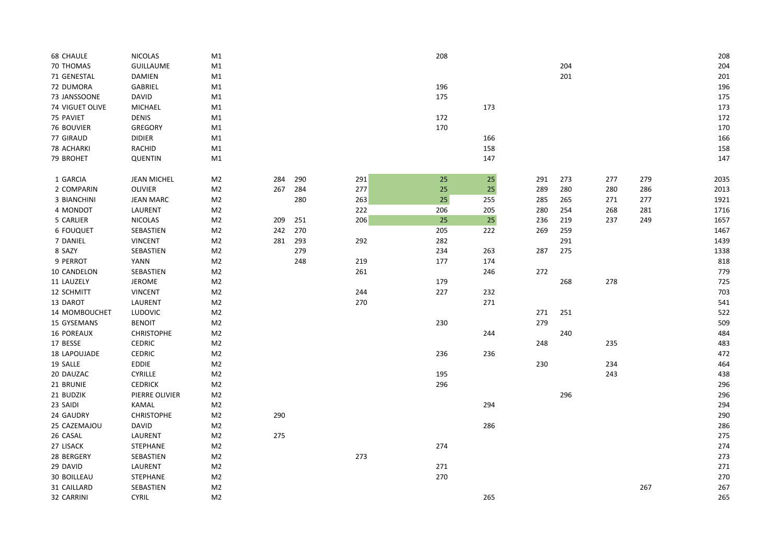| <b>68 CHAULE</b>   | <b>NICOLAS</b>     | M1             |     |     |     | 208 |     |     |     |     |     | 208  |
|--------------------|--------------------|----------------|-----|-----|-----|-----|-----|-----|-----|-----|-----|------|
| 70 THOMAS          | <b>GUILLAUME</b>   | M1             |     |     |     |     |     |     | 204 |     |     | 204  |
| 71 GENESTAL        | <b>DAMIEN</b>      | M1             |     |     |     |     |     |     | 201 |     |     | 201  |
| 72 DUMORA          | GABRIEL            | M1             |     |     |     | 196 |     |     |     |     |     | 196  |
| 73 JANSSOONE       | <b>DAVID</b>       | M1             |     |     |     | 175 |     |     |     |     |     | 175  |
| 74 VIGUET OLIVE    | MICHAEL            | M1             |     |     |     |     | 173 |     |     |     |     | 173  |
| 75 PAVIET          | <b>DENIS</b>       | M1             |     |     |     | 172 |     |     |     |     |     | 172  |
| 76 BOUVIER         | <b>GREGORY</b>     | M1             |     |     |     | 170 |     |     |     |     |     | 170  |
| 77 GIRAUD          | <b>DIDIER</b>      | M1             |     |     |     |     | 166 |     |     |     |     | 166  |
| 78 ACHARKI         | RACHID             | M1             |     |     |     |     | 158 |     |     |     |     | 158  |
| 79 BROHET          | <b>QUENTIN</b>     | M1             |     |     |     |     | 147 |     |     |     |     | 147  |
|                    |                    |                |     |     |     |     |     |     |     |     |     |      |
| 1 GARCIA           | <b>JEAN MICHEL</b> | M <sub>2</sub> | 284 | 290 | 291 | 25  | 25  | 291 | 273 | 277 | 279 | 2035 |
| 2 COMPARIN         | <b>OLIVIER</b>     | M <sub>2</sub> | 267 | 284 | 277 | 25  | 25  | 289 | 280 | 280 | 286 | 2013 |
| 3 BIANCHINI        | <b>JEAN MARC</b>   | M <sub>2</sub> |     | 280 | 263 | 25  | 255 | 285 | 265 | 271 | 277 | 1921 |
| 4 MONDOT           | LAURENT            | M <sub>2</sub> |     |     | 222 | 206 | 205 | 280 | 254 | 268 | 281 | 1716 |
| 5 CARLIER          | <b>NICOLAS</b>     | M <sub>2</sub> | 209 | 251 | 206 | 25  | 25  | 236 | 219 | 237 | 249 | 1657 |
| <b>6 FOUQUET</b>   | SEBASTIEN          | M <sub>2</sub> | 242 | 270 |     | 205 | 222 | 269 | 259 |     |     | 1467 |
| 7 DANIEL           | <b>VINCENT</b>     | M <sub>2</sub> | 281 | 293 | 292 | 282 |     |     | 291 |     |     | 1439 |
| 8 SAZY             | SEBASTIEN          | M2             |     | 279 |     | 234 | 263 | 287 | 275 |     |     | 1338 |
| 9 PERROT           | <b>YANN</b>        | M <sub>2</sub> |     | 248 | 219 | 177 | 174 |     |     |     |     | 818  |
| 10 CANDELON        | SEBASTIEN          | M <sub>2</sub> |     |     | 261 |     | 246 | 272 |     |     |     | 779  |
| 11 LAUZELY         | JEROME             | M <sub>2</sub> |     |     |     | 179 |     |     | 268 | 278 |     | 725  |
| 12 SCHMITT         | <b>VINCENT</b>     | M <sub>2</sub> |     |     | 244 | 227 | 232 |     |     |     |     | 703  |
| 13 DAROT           | LAURENT            | M <sub>2</sub> |     |     | 270 |     | 271 |     |     |     |     | 541  |
| 14 MOMBOUCHET      | LUDOVIC            | M <sub>2</sub> |     |     |     |     |     | 271 | 251 |     |     | 522  |
| 15 GYSEMANS        | <b>BENOIT</b>      | M <sub>2</sub> |     |     |     | 230 |     | 279 |     |     |     | 509  |
| 16 POREAUX         | <b>CHRISTOPHE</b>  | M2             |     |     |     |     | 244 |     | 240 |     |     | 484  |
| 17 BESSE           | <b>CEDRIC</b>      | M <sub>2</sub> |     |     |     |     |     | 248 |     | 235 |     | 483  |
| 18 LAPOUJADE       | <b>CEDRIC</b>      | M <sub>2</sub> |     |     |     | 236 | 236 |     |     |     |     | 472  |
| 19 SALLE           | EDDIE              | M <sub>2</sub> |     |     |     |     |     | 230 |     | 234 |     | 464  |
| 20 DAUZAC          | <b>CYRILLE</b>     | M <sub>2</sub> |     |     |     | 195 |     |     |     | 243 |     | 438  |
| 21 BRUNIE          | <b>CEDRICK</b>     | M <sub>2</sub> |     |     |     | 296 |     |     |     |     |     | 296  |
| 21 BUDZIK          | PIERRE OLIVIER     | M <sub>2</sub> |     |     |     |     |     |     | 296 |     |     | 296  |
| 23 SAIDI           | <b>KAMAL</b>       | M2             |     |     |     |     | 294 |     |     |     |     | 294  |
| 24 GAUDRY          | <b>CHRISTOPHE</b>  | M <sub>2</sub> | 290 |     |     |     |     |     |     |     |     | 290  |
| 25 CAZEMAJOU       | <b>DAVID</b>       | M2             |     |     |     |     | 286 |     |     |     |     | 286  |
| 26 CASAL           | LAURENT            | M2             | 275 |     |     |     |     |     |     |     |     | 275  |
| 27 LISACK          | STEPHANE           | M <sub>2</sub> |     |     |     | 274 |     |     |     |     |     | 274  |
| 28 BERGERY         | SEBASTIEN          | M <sub>2</sub> |     |     | 273 |     |     |     |     |     |     | 273  |
| 29 DAVID           | LAURENT            | M <sub>2</sub> |     |     |     | 271 |     |     |     |     |     | 271  |
| <b>30 BOILLEAU</b> | STEPHANE           | M <sub>2</sub> |     |     |     | 270 |     |     |     |     |     | 270  |
| 31 CAILLARD        | SEBASTIEN          | M <sub>2</sub> |     |     |     |     |     |     |     |     | 267 | 267  |
| 32 CARRINI         | <b>CYRIL</b>       | M <sub>2</sub> |     |     |     |     | 265 |     |     |     |     | 265  |
|                    |                    |                |     |     |     |     |     |     |     |     |     |      |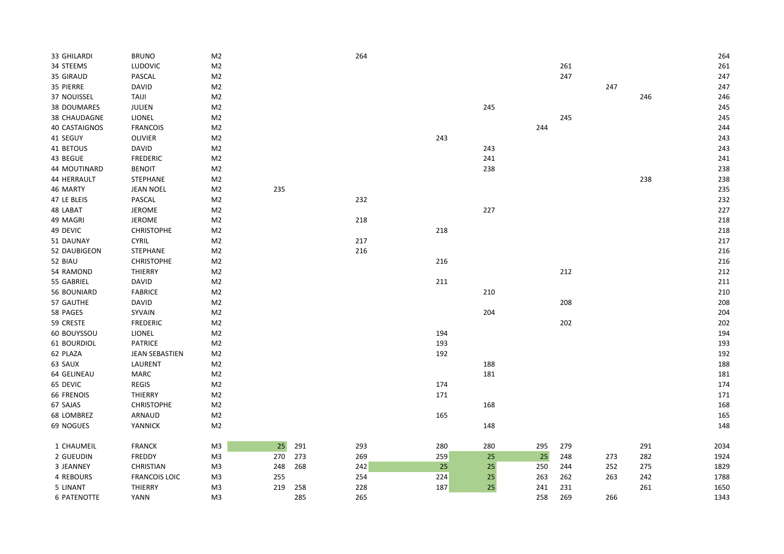| 33 GHILARDI   | <b>BRUNO</b>          | M <sub>2</sub> |     |     | 264 |     |     |     |     |     |     | 264  |
|---------------|-----------------------|----------------|-----|-----|-----|-----|-----|-----|-----|-----|-----|------|
| 34 STEEMS     | LUDOVIC               | M <sub>2</sub> |     |     |     |     |     |     | 261 |     |     | 261  |
| 35 GIRAUD     | PASCAL                | M <sub>2</sub> |     |     |     |     |     |     | 247 |     |     | 247  |
| 35 PIERRE     | <b>DAVID</b>          | M <sub>2</sub> |     |     |     |     |     |     |     | 247 |     | 247  |
| 37 NOUISSEL   | <b>TAIJI</b>          | M <sub>2</sub> |     |     |     |     |     |     |     |     | 246 | 246  |
| 38 DOUMARES   | JULIEN                | M <sub>2</sub> |     |     |     |     | 245 |     |     |     |     | 245  |
| 38 CHAUDAGNE  | LIONEL                | M <sub>2</sub> |     |     |     |     |     |     | 245 |     |     | 245  |
| 40 CASTAIGNOS | <b>FRANCOIS</b>       | M <sub>2</sub> |     |     |     |     |     | 244 |     |     |     | 244  |
| 41 SEGUY      | <b>OLIVIER</b>        | M <sub>2</sub> |     |     |     | 243 |     |     |     |     |     | 243  |
| 41 BETOUS     | <b>DAVID</b>          | M <sub>2</sub> |     |     |     |     | 243 |     |     |     |     | 243  |
| 43 BEGUE      | <b>FREDERIC</b>       | M <sub>2</sub> |     |     |     |     | 241 |     |     |     |     | 241  |
| 44 MOUTINARD  | <b>BENOIT</b>         | M <sub>2</sub> |     |     |     |     | 238 |     |     |     |     | 238  |
| 44 HERRAULT   | STEPHANE              | M <sub>2</sub> |     |     |     |     |     |     |     |     | 238 | 238  |
| 46 MARTY      | <b>JEAN NOEL</b>      | M <sub>2</sub> | 235 |     |     |     |     |     |     |     |     | 235  |
| 47 LE BLEIS   | PASCAL                | M <sub>2</sub> |     |     | 232 |     |     |     |     |     |     | 232  |
| 48 LABAT      | <b>JEROME</b>         | M <sub>2</sub> |     |     |     |     | 227 |     |     |     |     | 227  |
| 49 MAGRI      | JEROME                | M <sub>2</sub> |     |     | 218 |     |     |     |     |     |     | 218  |
| 49 DEVIC      | <b>CHRISTOPHE</b>     | M <sub>2</sub> |     |     |     | 218 |     |     |     |     |     | 218  |
| 51 DAUNAY     | <b>CYRIL</b>          | M <sub>2</sub> |     |     | 217 |     |     |     |     |     |     | 217  |
| 52 DAUBIGEON  | STEPHANE              | M <sub>2</sub> |     |     | 216 |     |     |     |     |     |     | 216  |
| 52 BIAU       | <b>CHRISTOPHE</b>     | M <sub>2</sub> |     |     |     | 216 |     |     |     |     |     | 216  |
| 54 RAMOND     | THIERRY               | M <sub>2</sub> |     |     |     |     |     |     | 212 |     |     | 212  |
| 55 GABRIEL    | <b>DAVID</b>          | M <sub>2</sub> |     |     |     | 211 |     |     |     |     |     | 211  |
| 56 BOUNIARD   | <b>FABRICE</b>        | M <sub>2</sub> |     |     |     |     | 210 |     |     |     |     | 210  |
| 57 GAUTHE     | <b>DAVID</b>          | M <sub>2</sub> |     |     |     |     |     |     | 208 |     |     | 208  |
| 58 PAGES      | SYVAIN                | M <sub>2</sub> |     |     |     |     | 204 |     |     |     |     | 204  |
| 59 CRESTE     | FREDERIC              | M <sub>2</sub> |     |     |     |     |     |     | 202 |     |     | 202  |
| 60 BOUYSSOU   | <b>LIONEL</b>         | M <sub>2</sub> |     |     |     | 194 |     |     |     |     |     | 194  |
| 61 BOURDIOL   | <b>PATRICE</b>        | M <sub>2</sub> |     |     |     | 193 |     |     |     |     |     | 193  |
| 62 PLAZA      | <b>JEAN SEBASTIEN</b> | M <sub>2</sub> |     |     |     | 192 |     |     |     |     |     | 192  |
| 63 SAUX       | LAURENT               | M <sub>2</sub> |     |     |     |     | 188 |     |     |     |     | 188  |
| 64 GELINEAU   | MARC                  | M <sub>2</sub> |     |     |     |     | 181 |     |     |     |     | 181  |
| 65 DEVIC      | REGIS                 | M <sub>2</sub> |     |     |     | 174 |     |     |     |     |     | 174  |
| 66 FRENOIS    | THIERRY               | M <sub>2</sub> |     |     |     | 171 |     |     |     |     |     | 171  |
| 67 SAJAS      | <b>CHRISTOPHE</b>     | M <sub>2</sub> |     |     |     |     | 168 |     |     |     |     | 168  |
| 68 LOMBREZ    | ARNAUD                | M <sub>2</sub> |     |     |     | 165 |     |     |     |     |     | 165  |
| 69 NOGUES     | YANNICK               | M <sub>2</sub> |     |     |     |     | 148 |     |     |     |     | 148  |
| 1 CHAUMEIL    | <b>FRANCK</b>         | M3             | 25  | 291 | 293 | 280 | 280 | 295 | 279 |     | 291 | 2034 |
| 2 GUEUDIN     | FREDDY                | M <sub>3</sub> | 270 | 273 | 269 | 259 | 25  | 25  | 248 | 273 | 282 | 1924 |
| 3 JEANNEY     | CHRISTIAN             | M <sub>3</sub> | 248 | 268 | 242 | 25  | 25  | 250 | 244 | 252 | 275 | 1829 |
| 4 REBOURS     | <b>FRANCOIS LOIC</b>  | M <sub>3</sub> | 255 |     | 254 | 224 | 25  | 263 | 262 | 263 | 242 | 1788 |
| 5 LINANT      | THIERRY               | M <sub>3</sub> | 219 | 258 | 228 | 187 | 25  | 241 | 231 |     | 261 | 1650 |
| 6 PATENOTTE   | <b>YANN</b>           | M <sub>3</sub> |     | 285 | 265 |     |     | 258 | 269 | 266 |     | 1343 |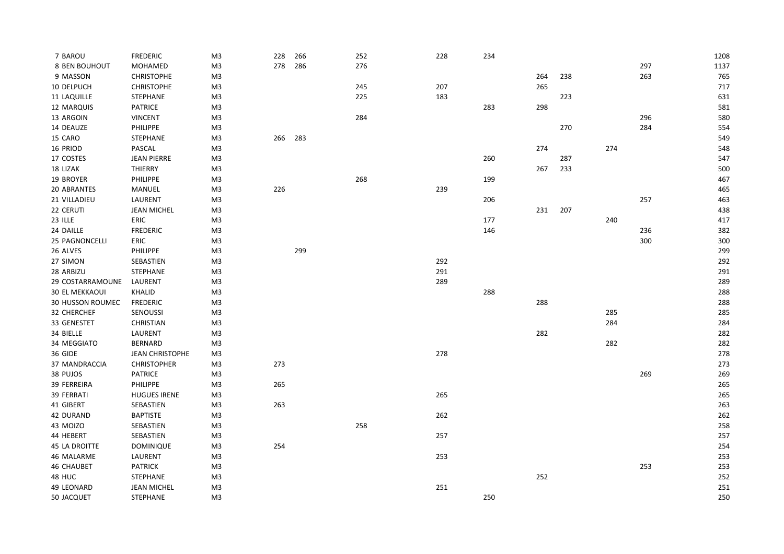| 7 BAROU               | <b>FREDERIC</b>        | M3             | 228 | 266 | 252 | 228 | 234 |     |     |     |     | 1208 |
|-----------------------|------------------------|----------------|-----|-----|-----|-----|-----|-----|-----|-----|-----|------|
| 8 BEN BOUHOUT         | <b>MOHAMED</b>         | M <sub>3</sub> | 278 | 286 | 276 |     |     |     |     |     | 297 | 1137 |
| 9 MASSON              | <b>CHRISTOPHE</b>      | M3             |     |     |     |     |     | 264 | 238 |     | 263 | 765  |
| 10 DELPUCH            | <b>CHRISTOPHE</b>      | M <sub>3</sub> |     |     | 245 | 207 |     | 265 |     |     |     | 717  |
| 11 LAQUILLE           | STEPHANE               | M <sub>3</sub> |     |     | 225 | 183 |     |     | 223 |     |     | 631  |
| 12 MARQUIS            | <b>PATRICE</b>         | M <sub>3</sub> |     |     |     |     | 283 | 298 |     |     |     | 581  |
| 13 ARGOIN             | <b>VINCENT</b>         | M3             |     |     | 284 |     |     |     |     |     | 296 | 580  |
| 14 DEAUZE             | PHILIPPE               | M <sub>3</sub> |     |     |     |     |     |     | 270 |     | 284 | 554  |
| 15 CARO               | STEPHANE               | M <sub>3</sub> | 266 | 283 |     |     |     |     |     |     |     | 549  |
| 16 PRIOD              | PASCAL                 | M <sub>3</sub> |     |     |     |     |     | 274 |     | 274 |     | 548  |
| 17 COSTES             | <b>JEAN PIERRE</b>     | M3             |     |     |     |     | 260 |     | 287 |     |     | 547  |
| 18 LIZAK              | <b>THIERRY</b>         | M3             |     |     |     |     |     | 267 | 233 |     |     | 500  |
| 19 BROYER             | PHILIPPE               | M <sub>3</sub> |     |     | 268 |     | 199 |     |     |     |     | 467  |
| 20 ABRANTES           | MANUEL                 | M <sub>3</sub> | 226 |     |     | 239 |     |     |     |     |     | 465  |
| 21 VILLADIEU          | LAURENT                | M3             |     |     |     |     | 206 |     |     |     | 257 | 463  |
| 22 CERUTI             | <b>JEAN MICHEL</b>     | M3             |     |     |     |     |     | 231 | 207 |     |     | 438  |
| 23 ILLE               | ERIC                   | M3             |     |     |     |     | 177 |     |     | 240 |     | 417  |
| 24 DAILLE             | <b>FREDERIC</b>        | M <sub>3</sub> |     |     |     |     | 146 |     |     |     | 236 | 382  |
| 25 PAGNONCELLI        | ERIC                   | M <sub>3</sub> |     |     |     |     |     |     |     |     | 300 | 300  |
| 26 ALVES              | <b>PHILIPPE</b>        | M3             |     | 299 |     |     |     |     |     |     |     | 299  |
| 27 SIMON              | SEBASTIEN              | M3             |     |     |     | 292 |     |     |     |     |     | 292  |
| 28 ARBIZU             | STEPHANE               | M <sub>3</sub> |     |     |     | 291 |     |     |     |     |     | 291  |
| 29 COSTARRAMOUNE      | LAURENT                | M3             |     |     |     | 289 |     |     |     |     |     | 289  |
| <b>30 EL MEKKAOUI</b> | KHALID                 | M3             |     |     |     |     | 288 |     |     |     |     | 288  |
| 30 HUSSON ROUMEC      | <b>FREDERIC</b>        | M <sub>3</sub> |     |     |     |     |     | 288 |     |     |     | 288  |
| 32 CHERCHEF           | SENOUSSI               | M3             |     |     |     |     |     |     |     | 285 |     | 285  |
| 33 GENESTET           | CHRISTIAN              | M3             |     |     |     |     |     |     |     | 284 |     | 284  |
| 34 BIELLE             | LAURENT                | M <sub>3</sub> |     |     |     |     |     | 282 |     |     |     | 282  |
| 34 MEGGIATO           | <b>BERNARD</b>         | M3             |     |     |     |     |     |     |     | 282 |     | 282  |
| 36 GIDE               | <b>JEAN CHRISTOPHE</b> | M <sub>3</sub> |     |     |     | 278 |     |     |     |     |     | 278  |
| 37 MANDRACCIA         | <b>CHRISTOPHER</b>     | M3             | 273 |     |     |     |     |     |     |     |     | 273  |
| 38 PUJOS              | <b>PATRICE</b>         | M3             |     |     |     |     |     |     |     |     | 269 | 269  |
| 39 FERREIRA           | PHILIPPE               | M3             | 265 |     |     |     |     |     |     |     |     | 265  |
| 39 FERRATI            | <b>HUGUES IRENE</b>    | M <sub>3</sub> |     |     |     | 265 |     |     |     |     |     | 265  |
| 41 GIBERT             | SEBASTIEN              | M3             | 263 |     |     |     |     |     |     |     |     | 263  |
| 42 DURAND             | <b>BAPTISTE</b>        | M <sub>3</sub> |     |     |     | 262 |     |     |     |     |     | 262  |
| 43 MOIZO              | SEBASTIEN              | M <sub>3</sub> |     |     | 258 |     |     |     |     |     |     | 258  |
| 44 HEBERT             | SEBASTIEN              | M3             |     |     |     | 257 |     |     |     |     |     | 257  |
| <b>45 LA DROITTE</b>  | <b>DOMINIQUE</b>       | M3             | 254 |     |     |     |     |     |     |     |     | 254  |
| 46 MALARME            | LAURENT                | M3             |     |     |     | 253 |     |     |     |     |     | 253  |
| <b>46 CHAUBET</b>     | <b>PATRICK</b>         | M <sub>3</sub> |     |     |     |     |     |     |     |     | 253 | 253  |
| 48 HUC                | STEPHANE               | M3             |     |     |     |     |     | 252 |     |     |     | 252  |
| 49 LEONARD            | <b>JEAN MICHEL</b>     | M3             |     |     |     | 251 |     |     |     |     |     | 251  |
| 50 JACQUET            | <b>STEPHANE</b>        | M <sub>3</sub> |     |     |     |     | 250 |     |     |     |     | 250  |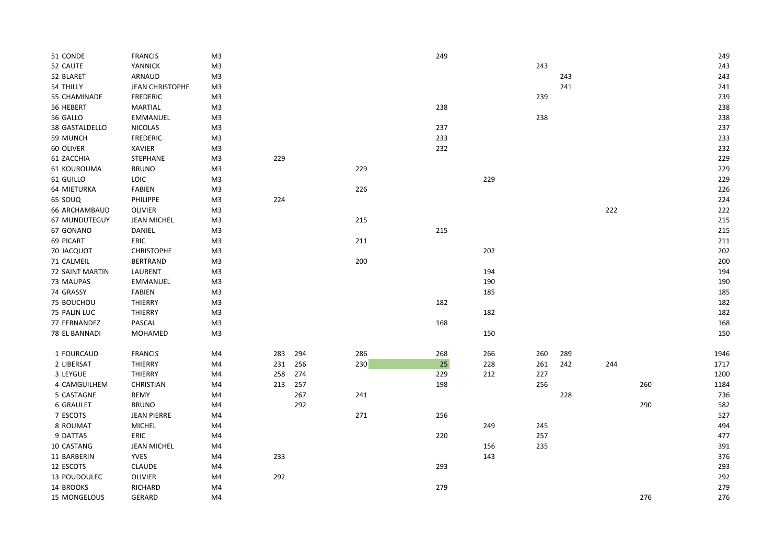| 51 CONDE             | <b>FRANCIS</b>         | M3             |     |     |     | 249 |     |     |     |     |     | 249  |
|----------------------|------------------------|----------------|-----|-----|-----|-----|-----|-----|-----|-----|-----|------|
| 52 CAUTE             | <b>YANNICK</b>         | M3             |     |     |     |     |     | 243 |     |     |     | 243  |
| 52 BLARET            | ARNAUD                 | M <sub>3</sub> |     |     |     |     |     |     | 243 |     |     | 243  |
| 54 THILLY            | <b>JEAN CHRISTOPHE</b> | M3             |     |     |     |     |     |     | 241 |     |     | 241  |
| 55 CHAMINADE         | <b>FREDERIC</b>        | M3             |     |     |     |     |     | 239 |     |     |     | 239  |
| 56 HEBERT            | MARTIAL                | M3             |     |     |     | 238 |     |     |     |     |     | 238  |
| 56 GALLO             | <b>EMMANUEL</b>        | M3             |     |     |     |     |     | 238 |     |     |     | 238  |
| 58 GASTALDELLO       | <b>NICOLAS</b>         | M <sub>3</sub> |     |     |     | 237 |     |     |     |     |     | 237  |
| 59 MUNCH             | <b>FREDERIC</b>        | M3             |     |     |     | 233 |     |     |     |     |     | 233  |
| 60 OLIVER            | <b>XAVIER</b>          | M3             |     |     |     | 232 |     |     |     |     |     | 232  |
| 61 ZACCHIA           | STEPHANE               | M3             | 229 |     |     |     |     |     |     |     |     | 229  |
| 61 KOUROUMA          | <b>BRUNO</b>           | M3             |     |     | 229 |     |     |     |     |     |     | 229  |
| 61 GUILLO            | <b>LOIC</b>            | M3             |     |     |     |     | 229 |     |     |     |     | 229  |
| 64 MIETURKA          | <b>FABIEN</b>          | M3             |     |     | 226 |     |     |     |     |     |     | 226  |
| 65 SOUQ              | PHILIPPE               | M3             | 224 |     |     |     |     |     |     |     |     | 224  |
| <b>66 ARCHAMBAUD</b> | <b>OLIVIER</b>         | M3             |     |     |     |     |     |     |     | 222 |     | 222  |
| 67 MUNDUTEGUY        | <b>JEAN MICHEL</b>     | M3             |     |     | 215 |     |     |     |     |     |     | 215  |
| 67 GONANO            | DANIEL                 | M <sub>3</sub> |     |     |     | 215 |     |     |     |     |     | 215  |
| 69 PICART            | ERIC                   | M3             |     |     | 211 |     |     |     |     |     |     | 211  |
| 70 JACQUOT           | <b>CHRISTOPHE</b>      | M3             |     |     |     |     | 202 |     |     |     |     | 202  |
| 71 CALMEIL           | <b>BERTRAND</b>        | M3             |     |     | 200 |     |     |     |     |     |     | 200  |
| 72 SAINT MARTIN      | LAURENT                | M <sub>3</sub> |     |     |     |     | 194 |     |     |     |     | 194  |
| 73 MAUPAS            | <b>EMMANUEL</b>        | M3             |     |     |     |     | 190 |     |     |     |     | 190  |
| 74 GRASSY            | FABIEN                 | M3             |     |     |     |     | 185 |     |     |     |     | 185  |
| 75 BOUCHOU           | THIERRY                | M3             |     |     |     | 182 |     |     |     |     |     | 182  |
| 75 PALIN LUC         | THIERRY                | M <sub>3</sub> |     |     |     |     | 182 |     |     |     |     | 182  |
| 77 FERNANDEZ         | PASCAL                 | M3             |     |     |     | 168 |     |     |     |     |     | 168  |
| 78 EL BANNADI        | MOHAMED                | M3             |     |     |     |     | 150 |     |     |     |     | 150  |
|                      |                        |                |     |     |     |     |     |     |     |     |     |      |
| 1 FOURCAUD           | <b>FRANCIS</b>         | M4             | 283 | 294 | 286 | 268 | 266 | 260 | 289 |     |     | 1946 |
| 2 LIBERSAT           | THIERRY                | M4             | 231 | 256 | 230 | 25  | 228 | 261 | 242 | 244 |     | 1717 |
| 3 LEYGUE             | THIERRY                | M4             | 258 | 274 |     | 229 | 212 | 227 |     |     |     | 1200 |
| 4 CAMGUILHEM         | <b>CHRISTIAN</b>       | M4             | 213 | 257 |     | 198 |     | 256 |     |     | 260 | 1184 |
| 5 CASTAGNE           | <b>REMY</b>            | M4             |     | 267 | 241 |     |     |     | 228 |     |     | 736  |
| <b>6 GRAULET</b>     | <b>BRUNO</b>           | M4             |     | 292 |     |     |     |     |     |     | 290 | 582  |
| 7 ESCOTS             | <b>JEAN PIERRE</b>     | M4             |     |     | 271 | 256 |     |     |     |     |     | 527  |
| 8 ROUMAT             | <b>MICHEL</b>          | M4             |     |     |     |     | 249 | 245 |     |     |     | 494  |
| 9 DATTAS             | ERIC                   | M4             |     |     |     | 220 |     | 257 |     |     |     | 477  |
| 10 CASTANG           | JEAN MICHEL            | M4             |     |     |     |     | 156 | 235 |     |     |     | 391  |
| 11 BARBERIN          | <b>YVES</b>            | M4             | 233 |     |     |     | 143 |     |     |     |     | 376  |
| 12 ESCOTS            | <b>CLAUDE</b>          | M4             |     |     |     | 293 |     |     |     |     |     | 293  |
| 13 POUDOULEC         | <b>OLIVIER</b>         | M4             | 292 |     |     |     |     |     |     |     |     | 292  |
| 14 BROOKS            | RICHARD                | M4             |     |     |     | 279 |     |     |     |     |     | 279  |
| 15 MONGELOUS         | <b>GERARD</b>          | M4             |     |     |     |     |     |     |     |     | 276 | 276  |
|                      |                        |                |     |     |     |     |     |     |     |     |     |      |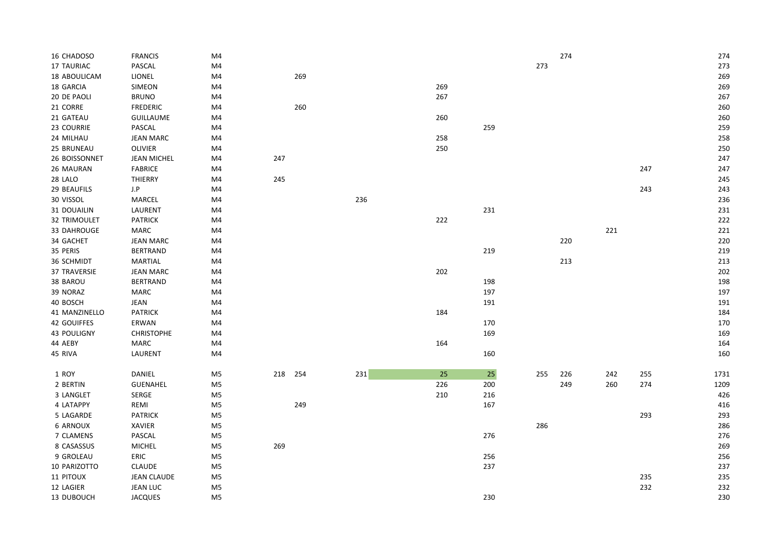| 16 CHADOSO          | <b>FRANCIS</b>     | M4             |     |     |     |     |     |     | 274 |     |     | 274  |
|---------------------|--------------------|----------------|-----|-----|-----|-----|-----|-----|-----|-----|-----|------|
| <b>17 TAURIAC</b>   | PASCAL             | M4             |     |     |     |     |     | 273 |     |     |     | 273  |
| 18 ABOULICAM        | LIONEL             | M4             |     | 269 |     |     |     |     |     |     |     | 269  |
| 18 GARCIA           | <b>SIMEON</b>      | M4             |     |     |     | 269 |     |     |     |     |     | 269  |
| 20 DE PAOLI         | <b>BRUNO</b>       | M4             |     |     |     | 267 |     |     |     |     |     | 267  |
| 21 CORRE            | <b>FREDERIC</b>    | M4             |     | 260 |     |     |     |     |     |     |     | 260  |
| 21 GATEAU           | <b>GUILLAUME</b>   | M4             |     |     |     | 260 |     |     |     |     |     | 260  |
| 23 COURRIE          | PASCAL             | M4             |     |     |     |     | 259 |     |     |     |     | 259  |
| 24 MILHAU           | <b>JEAN MARC</b>   | M4             |     |     |     | 258 |     |     |     |     |     | 258  |
| 25 BRUNEAU          | OLIVIER            | M4             |     |     |     | 250 |     |     |     |     |     | 250  |
| 26 BOISSONNET       | JEAN MICHEL        | M4             | 247 |     |     |     |     |     |     |     |     | 247  |
| 26 MAURAN           | <b>FABRICE</b>     | M4             |     |     |     |     |     |     |     |     | 247 | 247  |
| 28 LALO             | THIERRY            | M4             | 245 |     |     |     |     |     |     |     |     | 245  |
| 29 BEAUFILS         | $_{\rm J.P}$       | M4             |     |     |     |     |     |     |     |     | 243 | 243  |
| 30 VISSOL           | MARCEL             | M4             |     |     | 236 |     |     |     |     |     |     | 236  |
| 31 DOUAILIN         | LAURENT            | M4             |     |     |     |     | 231 |     |     |     |     | 231  |
| <b>32 TRIMOULET</b> | <b>PATRICK</b>     | M4             |     |     |     | 222 |     |     |     |     |     | 222  |
| 33 DAHROUGE         | MARC               | M4             |     |     |     |     |     |     |     | 221 |     | 221  |
| 34 GACHET           | <b>JEAN MARC</b>   | M4             |     |     |     |     |     |     | 220 |     |     | 220  |
| 35 PERIS            | <b>BERTRAND</b>    | M4             |     |     |     |     | 219 |     |     |     |     | 219  |
|                     |                    |                |     |     |     |     |     |     |     |     |     |      |
| 36 SCHMIDT          | MARTIAL            | M4             |     |     |     |     |     |     | 213 |     |     | 213  |
| <b>37 TRAVERSIE</b> | <b>JEAN MARC</b>   | M4             |     |     |     | 202 |     |     |     |     |     | 202  |
| 38 BAROU            | <b>BERTRAND</b>    | M4             |     |     |     |     | 198 |     |     |     |     | 198  |
| 39 NORAZ            | MARC               | M4             |     |     |     |     | 197 |     |     |     |     | 197  |
| 40 BOSCH            | JEAN               | M4             |     |     |     |     | 191 |     |     |     |     | 191  |
| 41 MANZINELLO       | <b>PATRICK</b>     | $\mathsf{M}4$  |     |     |     | 184 |     |     |     |     |     | 184  |
| 42 GOUIFFES         | ERWAN              | M4             |     |     |     |     | 170 |     |     |     |     | 170  |
| 43 POULIGNY         | <b>CHRISTOPHE</b>  | M4             |     |     |     |     | 169 |     |     |     |     | 169  |
| 44 AEBY             | <b>MARC</b>        | M4             |     |     |     | 164 |     |     |     |     |     | 164  |
| 45 RIVA             | LAURENT            | M4             |     |     |     |     | 160 |     |     |     |     | 160  |
|                     |                    |                |     |     |     |     |     |     |     |     |     |      |
| 1 ROY               | DANIEL             | M5             | 218 | 254 | 231 | 25  | 25  | 255 | 226 | 242 | 255 | 1731 |
| 2 BERTIN            | <b>GUENAHEL</b>    | M <sub>5</sub> |     |     |     | 226 | 200 |     | 249 | 260 | 274 | 1209 |
| 3 LANGLET           | SERGE              | M <sub>5</sub> |     |     |     | 210 | 216 |     |     |     |     | 426  |
| 4 LATAPPY           | REMI               | M <sub>5</sub> |     | 249 |     |     | 167 |     |     |     |     | 416  |
| 5 LAGARDE           | <b>PATRICK</b>     | M <sub>5</sub> |     |     |     |     |     |     |     |     | 293 | 293  |
| 6 ARNOUX            | <b>XAVIER</b>      | M5             |     |     |     |     |     | 286 |     |     |     | 286  |
| 7 CLAMENS           | PASCAL             | M <sub>5</sub> |     |     |     |     | 276 |     |     |     |     | 276  |
| 8 CASASSUS          | <b>MICHEL</b>      | M <sub>5</sub> | 269 |     |     |     |     |     |     |     |     | 269  |
| 9 GROLEAU           | ERIC               | M <sub>5</sub> |     |     |     |     | 256 |     |     |     |     | 256  |
| 10 PARIZOTTO        | <b>CLAUDE</b>      | M5             |     |     |     |     | 237 |     |     |     |     | 237  |
| 11 PITOUX           | <b>JEAN CLAUDE</b> | M5             |     |     |     |     |     |     |     |     | 235 | 235  |
| 12 LAGIER           | <b>JEAN LUC</b>    | M <sub>5</sub> |     |     |     |     |     |     |     |     | 232 | 232  |
| 13 DUBOUCH          | <b>JACQUES</b>     | M <sub>5</sub> |     |     |     |     | 230 |     |     |     |     | 230  |
|                     |                    |                |     |     |     |     |     |     |     |     |     |      |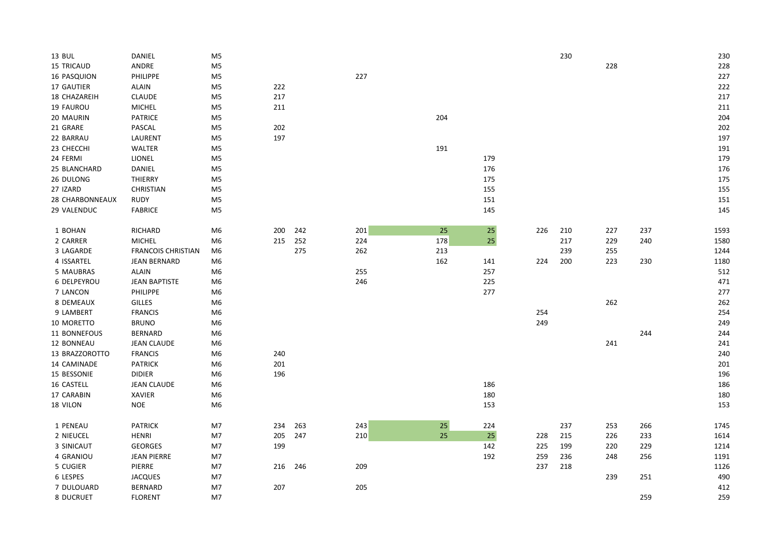| 13 BUL            | DANIEL                    | M <sub>5</sub> |     |     |     |        |     |     | 230 |     |     | 230  |
|-------------------|---------------------------|----------------|-----|-----|-----|--------|-----|-----|-----|-----|-----|------|
| <b>15 TRICAUD</b> | ANDRE                     | M <sub>5</sub> |     |     |     |        |     |     |     | 228 |     | 228  |
| 16 PASQUION       | PHILIPPE                  | M <sub>5</sub> |     |     | 227 |        |     |     |     |     |     | 227  |
| 17 GAUTIER        | ALAIN                     | M <sub>5</sub> | 222 |     |     |        |     |     |     |     |     | 222  |
| 18 CHAZAREIH      | CLAUDE                    | M5             | 217 |     |     |        |     |     |     |     |     | 217  |
| 19 FAUROU         | MICHEL                    | M <sub>5</sub> | 211 |     |     |        |     |     |     |     |     | 211  |
| 20 MAURIN         | <b>PATRICE</b>            | M <sub>5</sub> |     |     |     | 204    |     |     |     |     |     | 204  |
| 21 GRARE          | PASCAL                    | M5             | 202 |     |     |        |     |     |     |     |     | 202  |
| 22 BARRAU         | LAURENT                   | M <sub>5</sub> | 197 |     |     |        |     |     |     |     |     | 197  |
| 23 CHECCHI        | WALTER                    | M5             |     |     |     | 191    |     |     |     |     |     | 191  |
| 24 FERMI          | LIONEL                    | M <sub>5</sub> |     |     |     |        | 179 |     |     |     |     | 179  |
| 25 BLANCHARD      | DANIEL                    | M <sub>5</sub> |     |     |     |        | 176 |     |     |     |     | 176  |
| 26 DULONG         | THIERRY                   | M <sub>5</sub> |     |     |     |        | 175 |     |     |     |     | 175  |
| 27 IZARD          | <b>CHRISTIAN</b>          | M <sub>5</sub> |     |     |     |        | 155 |     |     |     |     | 155  |
| 28 CHARBONNEAUX   | <b>RUDY</b>               | M5             |     |     |     |        | 151 |     |     |     |     | 151  |
| 29 VALENDUC       | <b>FABRICE</b>            | M <sub>5</sub> |     |     |     |        | 145 |     |     |     |     | 145  |
|                   |                           |                |     |     |     |        |     |     |     |     |     |      |
| 1 BOHAN           | <b>RICHARD</b>            | M6             | 200 | 242 | 201 | 25     | 25  | 226 | 210 | 227 | 237 | 1593 |
| 2 CARRER          | <b>MICHEL</b>             | M <sub>6</sub> | 215 | 252 | 224 | 178    | 25  |     | 217 | 229 | 240 | 1580 |
| 3 LAGARDE         | <b>FRANCOIS CHRISTIAN</b> | M <sub>6</sub> |     | 275 | 262 | 213    |     |     | 239 | 255 |     | 1244 |
| 4 ISSARTEL        | <b>JEAN BERNARD</b>       | M6             |     |     |     | 162    | 141 | 224 | 200 | 223 | 230 | 1180 |
| 5 MAUBRAS         | <b>ALAIN</b>              | M6             |     |     | 255 |        | 257 |     |     |     |     | 512  |
| 6 DELPEYROU       | <b>JEAN BAPTISTE</b>      | M6             |     |     | 246 |        | 225 |     |     |     |     | 471  |
| 7 LANCON          | PHILIPPE                  | M <sub>6</sub> |     |     |     |        | 277 |     |     |     |     | 277  |
| 8 DEMEAUX         | <b>GILLES</b>             | M <sub>6</sub> |     |     |     |        |     |     |     | 262 |     | 262  |
| 9 LAMBERT         | <b>FRANCIS</b>            | M6             |     |     |     |        |     | 254 |     |     |     | 254  |
| 10 MORETTO        | <b>BRUNO</b>              | M6             |     |     |     |        |     | 249 |     |     |     | 249  |
| 11 BONNEFOUS      | <b>BERNARD</b>            | M6             |     |     |     |        |     |     |     |     | 244 | 244  |
| 12 BONNEAU        | <b>JEAN CLAUDE</b>        | M <sub>6</sub> |     |     |     |        |     |     |     | 241 |     | 241  |
| 13 BRAZZOROTTO    | <b>FRANCIS</b>            | M <sub>6</sub> | 240 |     |     |        |     |     |     |     |     | 240  |
| 14 CAMINADE       | <b>PATRICK</b>            | M6             | 201 |     |     |        |     |     |     |     |     | 201  |
| 15 BESSONIE       | <b>DIDIER</b>             | M6             | 196 |     |     |        |     |     |     |     |     | 196  |
| 16 CASTELL        | <b>JEAN CLAUDE</b>        | M6             |     |     |     |        | 186 |     |     |     |     | 186  |
| 17 CARABIN        | XAVIER                    | M <sub>6</sub> |     |     |     |        | 180 |     |     |     |     | 180  |
| 18 VILON          | <b>NOE</b>                | M <sub>6</sub> |     |     |     |        | 153 |     |     |     |     | 153  |
| 1 PENEAU          | <b>PATRICK</b>            | M7             | 234 | 263 | 243 | $25\,$ | 224 |     | 237 | 253 | 266 | 1745 |
| 2 NIEUCEL         | <b>HENRI</b>              | M7             | 205 | 247 | 210 | 25     | 25  | 228 | 215 | 226 | 233 | 1614 |
| 3 SINICAUT        | GEORGES                   | M7             | 199 |     |     |        | 142 | 225 | 199 | 220 | 229 | 1214 |
| 4 GRANIOU         | <b>JEAN PIERRE</b>        | M7             |     |     |     |        | 192 | 259 | 236 | 248 | 256 | 1191 |
| 5 CUGIER          | PIERRE                    | M7             | 216 | 246 | 209 |        |     | 237 | 218 |     |     | 1126 |
| 6 LESPES          | <b>JACQUES</b>            | M7             |     |     |     |        |     |     |     | 239 | 251 | 490  |
| 7 DULOUARD        | <b>BERNARD</b>            | M7             | 207 |     | 205 |        |     |     |     |     |     | 412  |
| 8 DUCRUET         | <b>FLORENT</b>            | M7             |     |     |     |        |     |     |     |     | 259 | 259  |
|                   |                           |                |     |     |     |        |     |     |     |     |     |      |